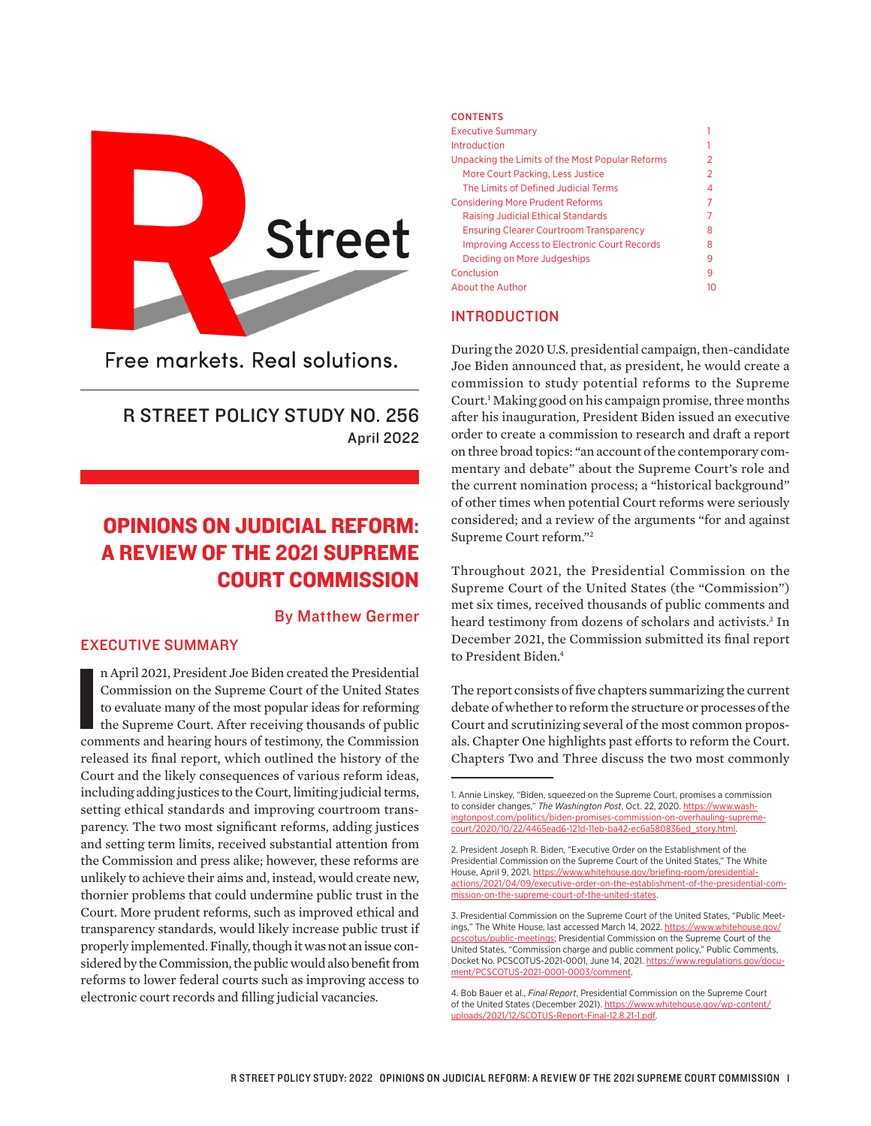

Free markets, Real solutions.

# R STREET POLICY STUDY NO. 256 April 2022

# OPINIONS ON JUDICIAL REFORM: A REVIEW OF THE 2021 SUPREME COURT COMMISSION

# By Matthew Germer

## EXECUTIVE SUMMARY

n April 2021, President Joe Biden created the Presidential Commission on the Supreme Court of the United States to evaluate many of the most popular ideas for reforming the Supreme Court. After receiving thousands of publi n April 2021, President Joe Biden created the Presidential Commission on the Supreme Court of the United States to evaluate many of the most popular ideas for reforming the Supreme Court. After receiving thousands of public released its final report, which outlined the history of the Court and the likely consequences of various reform ideas, including adding justices to the Court, limiting judicial terms, setting ethical standards and improving courtroom transparency. The two most significant reforms, adding justices and setting term limits, received substantial attention from the Commission and press alike; however, these reforms are unlikely to achieve their aims and, instead, would create new, thornier problems that could undermine public trust in the Court. More prudent reforms, such as improved ethical and transparency standards, would likely increase public trust if properly implemented. Finally, though it was not an issue considered by the Commission, the public would also benefit from reforms to lower federal courts such as improving access to electronic court records and filling judicial vacancies.

#### **CONTENTS** Executive Summary **1** Introduction 1 Unpacking the Limits of the Most Popular Reforms 2 More Court Packing, Less Justice 2 The Limits of Defined Judicial Terms 4 Considering More Prudent Reforms 7 Raising Judicial Ethical Standards 7 Ensuring Clearer Courtroom Transparency 8 Improving Access to Electronic Court Records 8 Deciding on More Judgeships 8 and 1999 and 1999 and 1999 and 1999 and 1999 and 1999 and 1999 and 199 Conclusion 9 About the Author 10

#### INTRODUCTION

During the 2020 U.S. presidential campaign, then-candidate Joe Biden announced that, as president, he would create a commission to study potential reforms to the Supreme Court.1 Making good on his campaign promise, three months after his inauguration, President Biden issued an executive order to create a commission to research and draft a report on three broad topics: "an account of the contemporary commentary and debate" about the Supreme Court's role and the current nomination process; a "historical background" of other times when potential Court reforms were seriously considered; and a review of the arguments "for and against Supreme Court reform."2

Throughout 2021, the Presidential Commission on the Supreme Court of the United States (the "Commission") met six times, received thousands of public comments and heard testimony from dozens of scholars and activists.3 In December 2021, the Commission submitted its final report to President Biden.<sup>4</sup>

The report consists of five chapters summarizing the current debate of whether to reform the structure or processes of the Court and scrutinizing several of the most common proposals. Chapter One highlights past efforts to reform the Court. Chapters Two and Three discuss the two most commonly

<sup>1.</sup> Annie Linskey, "Biden, squeezed on the Supreme Court, promises a commission to consider changes," *The Washington Post*, Oct. 22, 2020. [https://www.wash](https://www.washingtonpost.com/politics/biden-promises-commission-on-overhauling-supreme-court/2020/10/22/4465ead6-121d-11eb-ba42-ec6a580836ed_story.html)[ingtonpost.com/politics/biden-promises-commission-on-overhauling-supreme](https://www.washingtonpost.com/politics/biden-promises-commission-on-overhauling-supreme-court/2020/10/22/4465ead6-121d-11eb-ba42-ec6a580836ed_story.html)[court/2020/10/22/4465ead6-121d-11eb-ba42-ec6a580836ed\\_story.html](https://www.washingtonpost.com/politics/biden-promises-commission-on-overhauling-supreme-court/2020/10/22/4465ead6-121d-11eb-ba42-ec6a580836ed_story.html).

<sup>2.</sup> President Joseph R. Biden, "Executive Order on the Establishment of the Presidential Commission on the Supreme Court of the United States," The White House, April 9, 2021. [https://www.whitehouse.gov/briefing-room/presidential](https://www.whitehouse.gov/briefing-room/presidential-actions/2021/04/09/executive-order-on-the-establishment-of-the-presidential-commission-on-the-supreme-court-of-the-united-states)[actions/2021/04/09/executive-order-on-the-establishment-of-the-presidential-com](https://www.whitehouse.gov/briefing-room/presidential-actions/2021/04/09/executive-order-on-the-establishment-of-the-presidential-commission-on-the-supreme-court-of-the-united-states)[mission-on-the-supreme-court-of-the-united-states](https://www.whitehouse.gov/briefing-room/presidential-actions/2021/04/09/executive-order-on-the-establishment-of-the-presidential-commission-on-the-supreme-court-of-the-united-states).

<sup>3.</sup> Presidential Commission on the Supreme Court of the United States, "Public Meetings," The White House, last accessed March 14, 2022. [https://www.whitehouse.gov/](https://www.whitehouse.gov/pcscotus/public-meetings/) [pcscotus/public-meetings;](https://www.whitehouse.gov/pcscotus/public-meetings/) Presidential Commission on the Supreme Court of the United States, "Commission charge and public comment policy," Public Comments, Docket No. PCSCOTUS-2021-0001, June 14, 2021. [https://www.regulations.gov/docu](https://www.regulations.gov/document/PCSCOTUS-2021-0001-0003/comment)[ment/PCSCOTUS-2021-0001-0003/comment.](https://www.regulations.gov/document/PCSCOTUS-2021-0001-0003/comment)

<sup>4.</sup> Bob Bauer et al., *Final Report*, Presidential Commission on the Supreme Court of the United States (December 2021). [https://www.whitehouse.gov/wp-content/](https://www.whitehouse.gov/wp-content/uploads/2021/12/SCOTUS-Report-Final-12.8.21-1.pdf) [uploads/2021/12/SCOTUS-Report-Final-12.8.21-1.pdf.](https://www.whitehouse.gov/wp-content/uploads/2021/12/SCOTUS-Report-Final-12.8.21-1.pdf)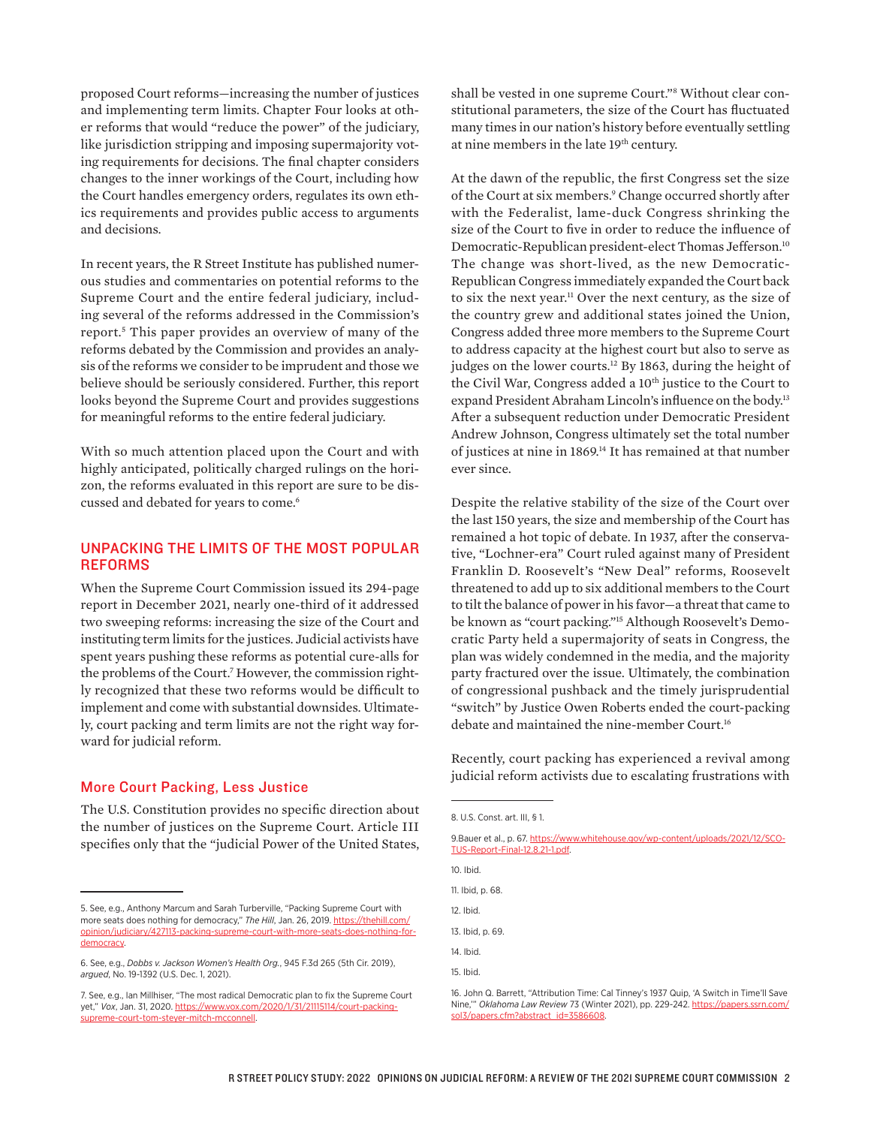proposed Court reforms—increasing the number of justices and implementing term limits. Chapter Four looks at other reforms that would "reduce the power" of the judiciary, like jurisdiction stripping and imposing supermajority voting requirements for decisions. The final chapter considers changes to the inner workings of the Court, including how the Court handles emergency orders, regulates its own ethics requirements and provides public access to arguments and decisions.

In recent years, the R Street Institute has published numerous studies and commentaries on potential reforms to the Supreme Court and the entire federal judiciary, including several of the reforms addressed in the Commission's report.5 This paper provides an overview of many of the reforms debated by the Commission and provides an analysis of the reforms we consider to be imprudent and those we believe should be seriously considered. Further, this report looks beyond the Supreme Court and provides suggestions for meaningful reforms to the entire federal judiciary.

With so much attention placed upon the Court and with highly anticipated, politically charged rulings on the horizon, the reforms evaluated in this report are sure to be discussed and debated for years to come.<sup>6</sup>

# UNPACKING THE LIMITS OF THE MOST POPULAR REFORMS

When the Supreme Court Commission issued its 294-page report in December 2021, nearly one-third of it addressed two sweeping reforms: increasing the size of the Court and instituting term limits for the justices. Judicial activists have spent years pushing these reforms as potential cure-alls for the problems of the Court.7 However, the commission rightly recognized that these two reforms would be difficult to implement and come with substantial downsides. Ultimately, court packing and term limits are not the right way forward for judicial reform.

#### More Court Packing, Less Justice

The U.S. Constitution provides no specific direction about the number of justices on the Supreme Court. Article III specifies only that the "judicial Power of the United States,

shall be vested in one supreme Court."8 Without clear constitutional parameters, the size of the Court has fluctuated many times in our nation's history before eventually settling at nine members in the late 19<sup>th</sup> century.

At the dawn of the republic, the first Congress set the size of the Court at six members.<sup>9</sup> Change occurred shortly after with the Federalist, lame-duck Congress shrinking the size of the Court to five in order to reduce the influence of Democratic-Republican president-elect Thomas Jefferson.10 The change was short-lived, as the new Democratic-Republican Congress immediately expanded the Court back to six the next year.<sup>11</sup> Over the next century, as the size of the country grew and additional states joined the Union, Congress added three more members to the Supreme Court to address capacity at the highest court but also to serve as judges on the lower courts.<sup>12</sup> By 1863, during the height of the Civil War, Congress added a 10<sup>th</sup> justice to the Court to expand President Abraham Lincoln's influence on the body.13 After a subsequent reduction under Democratic President Andrew Johnson, Congress ultimately set the total number of justices at nine in 1869.<sup>14</sup> It has remained at that number ever since.

Despite the relative stability of the size of the Court over the last 150 years, the size and membership of the Court has remained a hot topic of debate. In 1937, after the conservative, "Lochner-era" Court ruled against many of President Franklin D. Roosevelt's "New Deal" reforms, Roosevelt threatened to add up to six additional members to the Court to tilt the balance of power in his favor—a threat that came to be known as "court packing."15 Although Roosevelt's Democratic Party held a supermajority of seats in Congress, the plan was widely condemned in the media, and the majority party fractured over the issue. Ultimately, the combination of congressional pushback and the timely jurisprudential "switch" by Justice Owen Roberts ended the court-packing debate and maintained the nine-member Court.<sup>16</sup>

Recently, court packing has experienced a revival among judicial reform activists due to escalating frustrations with

9.Bauer et al., p. 67. [https://www.whitehouse.gov/wp-content/uploads/2021/12/SCO-](https://www.whitehouse.gov/wp-content/uploads/2021/12/SCOTUS-Report-Final-12.8.21-1.pdf)[TUS-Report-Final-12.8.21-1.pdf](https://www.whitehouse.gov/wp-content/uploads/2021/12/SCOTUS-Report-Final-12.8.21-1.pdf).

| 10. Ibid.        |
|------------------|
| 11. Ibid. p. 68. |
| 12. Ibid.        |
| 13. Ibid, p. 69. |
| 14. Ibid.        |
| 15. Ibid.        |

<sup>16.</sup> John Q. Barrett, "Attribution Time: Cal Tinney's 1937 Quip, 'A Switch in Time'll Save Nine,'" *Oklahoma Law Review* 73 (Winter 2021), pp. 229-242. [https://papers.ssrn.com/](https://papers.ssrn.com/sol3/papers.cfm?abstract_id=3586608) [sol3/papers.cfm?abstract\\_id=3586608](https://papers.ssrn.com/sol3/papers.cfm?abstract_id=3586608).

<sup>5.</sup> See, e.g., Anthony Marcum and Sarah Turberville, "Packing Supreme Court with more seats does nothing for democracy," The Hill, Jan. 26, 2019. [https://thehill.com/](https://thehill.com/opinion/judiciary/427113-packing-supreme-court-with-more-seats-does-nothing-for-democracy) [opinion/judiciary/427113-packing-supreme-court-with-more-seats-does-nothing-for](https://thehill.com/opinion/judiciary/427113-packing-supreme-court-with-more-seats-does-nothing-for-democracy)[democracy](https://thehill.com/opinion/judiciary/427113-packing-supreme-court-with-more-seats-does-nothing-for-democracy).

<sup>6.</sup> See, e.g., *Dobbs v. Jackson Women's Health Org.*, 945 F.3d 265 (5th Cir. 2019), *argued*, No. 19-1392 (U.S. Dec. 1, 2021).

<sup>7.</sup> See, e.g., Ian Millhiser, "The most radical Democratic plan to fix the Supreme Court yet," *Vox*, Jan. 31, 2020. [https://www.vox.com/2020/1/31/21115114/court-packing](https://www.vox.com/2020/1/31/21115114/court-packing-supreme-court-tom-steyer-mitch-mcconnell)[supreme-court-tom-steyer-mitch-mcconnell.](https://www.vox.com/2020/1/31/21115114/court-packing-supreme-court-tom-steyer-mitch-mcconnell)

<sup>8.</sup> U.S. Const. art. III, § 1.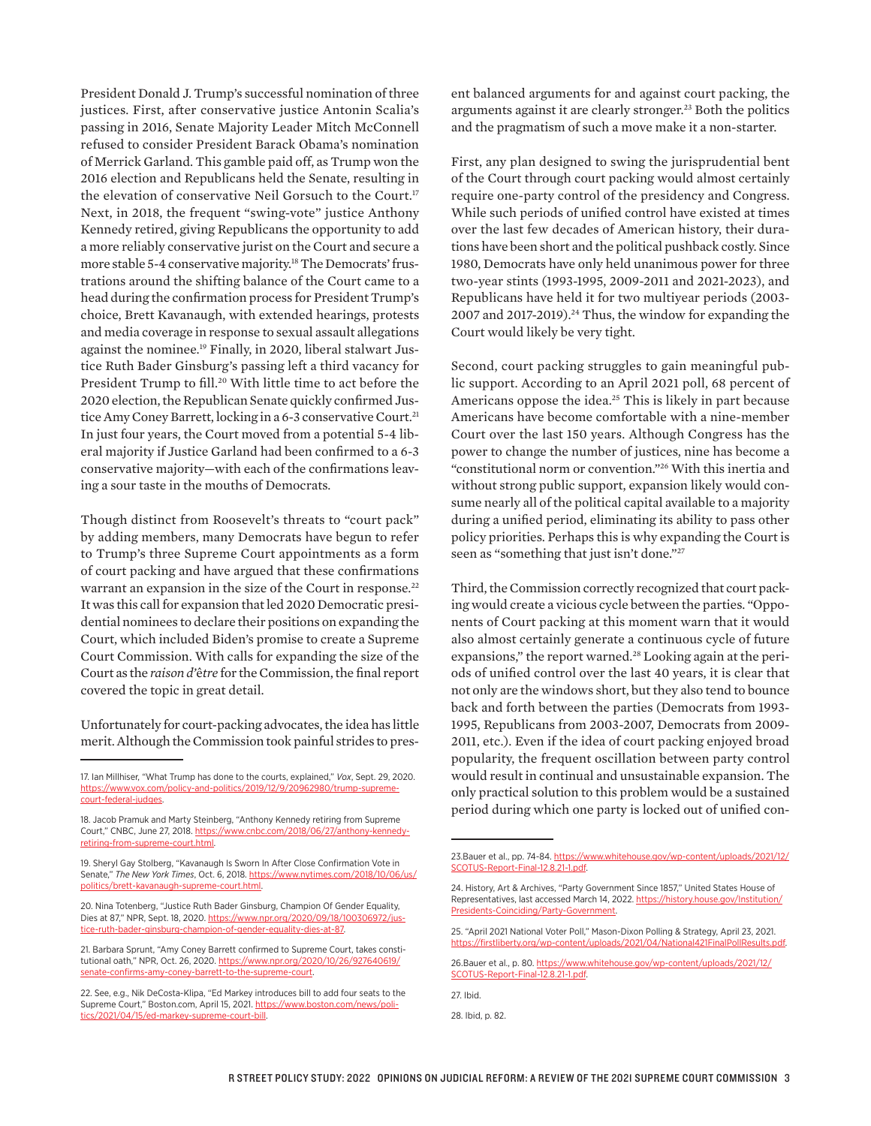President Donald J. Trump's successful nomination of three justices. First, after conservative justice Antonin Scalia's passing in 2016, Senate Majority Leader Mitch McConnell refused to consider President Barack Obama's nomination of Merrick Garland. This gamble paid off, as Trump won the 2016 election and Republicans held the Senate, resulting in the elevation of conservative Neil Gorsuch to the Court.<sup>17</sup> Next, in 2018, the frequent "swing-vote" justice Anthony Kennedy retired, giving Republicans the opportunity to add a more reliably conservative jurist on the Court and secure a more stable 5-4 conservative majority.<sup>18</sup> The Democrats' frustrations around the shifting balance of the Court came to a head during the confirmation process for President Trump's choice, Brett Kavanaugh, with extended hearings, protests and media coverage in response to sexual assault allegations against the nominee.<sup>19</sup> Finally, in 2020, liberal stalwart Justice Ruth Bader Ginsburg's passing left a third vacancy for President Trump to fill.<sup>20</sup> With little time to act before the 2020 election, the Republican Senate quickly confirmed Justice Amy Coney Barrett, locking in a 6-3 conservative Court.<sup>21</sup> In just four years, the Court moved from a potential 5-4 liberal majority if Justice Garland had been confirmed to a 6-3 conservative majority—with each of the confirmations leaving a sour taste in the mouths of Democrats.

Though distinct from Roosevelt's threats to "court pack" by adding members, many Democrats have begun to refer to Trump's three Supreme Court appointments as a form of court packing and have argued that these confirmations warrant an expansion in the size of the Court in response.<sup>22</sup> It was this call for expansion that led 2020 Democratic presidential nominees to declare their positions on expanding the Court, which included Biden's promise to create a Supreme Court Commission. With calls for expanding the size of the Court as the *raison d'*ê*tre* for the Commission, the final report covered the topic in great detail.

Unfortunately for court-packing advocates, the idea has little merit. Although the Commission took painful strides to pres-

19. Sheryl Gay Stolberg, "Kavanaugh Is Sworn In After Close Confirmation Vote in Senate," *The New York Times*, Oct. 6, 2018. [https://www.nytimes.com/2018/10/06/us/](https://www.nytimes.com/2018/10/06/us/politics/brett-kavanaugh-supreme-court.html) [politics/brett-kavanaugh-supreme-court.html.](https://www.nytimes.com/2018/10/06/us/politics/brett-kavanaugh-supreme-court.html)

20. Nina Totenberg, "Justice Ruth Bader Ginsburg, Champion Of Gender Equality, Dies at 87," NPR, Sept. 18, 2020. [https://www.npr.org/2020/09/18/100306972/jus](https://www.npr.org/2020/09/18/100306972/justice-ruth-bader-ginsburg-champion-of-gender-equality-dies-at-87)[tice-ruth-bader-ginsburg-champion-of-gender-equality-dies-at-87.](https://www.npr.org/2020/09/18/100306972/justice-ruth-bader-ginsburg-champion-of-gender-equality-dies-at-87)

ent balanced arguments for and against court packing, the arguments against it are clearly stronger.23 Both the politics and the pragmatism of such a move make it a non-starter.

First, any plan designed to swing the jurisprudential bent of the Court through court packing would almost certainly require one-party control of the presidency and Congress. While such periods of unified control have existed at times over the last few decades of American history, their durations have been short and the political pushback costly. Since 1980, Democrats have only held unanimous power for three two-year stints (1993-1995, 2009-2011 and 2021-2023), and Republicans have held it for two multiyear periods (2003- 2007 and 2017-2019).<sup>24</sup> Thus, the window for expanding the Court would likely be very tight.

Second, court packing struggles to gain meaningful public support. According to an April 2021 poll, 68 percent of Americans oppose the idea.<sup>25</sup> This is likely in part because Americans have become comfortable with a nine-member Court over the last 150 years. Although Congress has the power to change the number of justices, nine has become a "constitutional norm or convention."26 With this inertia and without strong public support, expansion likely would consume nearly all of the political capital available to a majority during a unified period, eliminating its ability to pass other policy priorities. Perhaps this is why expanding the Court is seen as "something that just isn't done."<sup>27</sup>

Third, the Commission correctly recognized that court packing would create a vicious cycle between the parties. "Opponents of Court packing at this moment warn that it would also almost certainly generate a continuous cycle of future expansions," the report warned.<sup>28</sup> Looking again at the periods of unified control over the last 40 years, it is clear that not only are the windows short, but they also tend to bounce back and forth between the parties (Democrats from 1993- 1995, Republicans from 2003-2007, Democrats from 2009- 2011, etc.). Even if the idea of court packing enjoyed broad popularity, the frequent oscillation between party control would result in continual and unsustainable expansion. The only practical solution to this problem would be a sustained period during which one party is locked out of unified con-

27. Ibid.

<sup>17.</sup> Ian Millhiser, "What Trump has done to the courts, explained," *Vox*, Sept. 29, 2020. [https://www.vox.com/policy-and-politics/2019/12/9/20962980/trump-supreme](https://www.vox.com/policy-and-politics/2019/12/9/20962980/trump-supreme-court-federal-judges)[court-federal-judges.](https://www.vox.com/policy-and-politics/2019/12/9/20962980/trump-supreme-court-federal-judges)

<sup>18.</sup> Jacob Pramuk and Marty Steinberg, "Anthony Kennedy retiring from Supreme Court," CNBC, June 27, 2018. [https://www.cnbc.com/2018/06/27/anthony-kennedy](https://www.cnbc.com/2018/06/27/anthony-kennedy-retiring-from-supreme-court.html)[retiring-from-supreme-court.html](https://www.cnbc.com/2018/06/27/anthony-kennedy-retiring-from-supreme-court.html).

<sup>21.</sup> Barbara Sprunt, "Amy Coney Barrett confirmed to Supreme Court, takes constitutional oath," NPR, Oct. 26, 2020. [https://www.npr.org/2020/10/26/927640619/](https://www.npr.org/2020/10/26/927640619/senate-confirms-amy-coney-barrett-to-the-supreme-court) [senate-confirms-amy-coney-barrett-to-the-supreme-court.](https://www.npr.org/2020/10/26/927640619/senate-confirms-amy-coney-barrett-to-the-supreme-court)

<sup>22.</sup> See, e.g., Nik DeCosta-Klipa, "Ed Markey introduces bill to add four seats to the Supreme Court," Boston.com, April 15, 2021. [https://www.boston.com/news/poli](https://www.boston.com/news/politics/2021/04/15/ed-markey-supreme-court-bill)[tics/2021/04/15/ed-markey-supreme-court-bill](https://www.boston.com/news/politics/2021/04/15/ed-markey-supreme-court-bill).

<sup>23.</sup>Bauer et al., pp. 74-84. [https://www.whitehouse.gov/wp-content/uploads/2021/12/](https://www.whitehouse.gov/wp-content/uploads/2021/12/SCOTUS-Report-Final-12.8.21-1.pdf) [SCOTUS-Report-Final-12.8.21-1.pdf](https://www.whitehouse.gov/wp-content/uploads/2021/12/SCOTUS-Report-Final-12.8.21-1.pdf).

<sup>24.</sup> History, Art & Archives, "Party Government Since 1857," United States House of Representatives, last accessed March 14, 2022. [https://history.house.gov/Institution/](https://history.house.gov/Institution/Presidents-Coinciding/Party-Government/) [Presidents-Coinciding/Party-Government.](https://history.house.gov/Institution/Presidents-Coinciding/Party-Government/)

<sup>25. &</sup>quot;April 2021 National Voter Poll," Mason-Dixon Polling & Strategy, April 23, 2021. https://firstliberty.org/wp-content/uploads/2021/04/National421F

<sup>26.</sup>Bauer et al., p. 80. [https://www.whitehouse.gov/wp-content/uploads/2021/12/](https://www.whitehouse.gov/wp-content/uploads/2021/12/SCOTUS-Report-Final-12.8.21-1.pdf) [SCOTUS-Report-Final-12.8.21-1.pdf](https://www.whitehouse.gov/wp-content/uploads/2021/12/SCOTUS-Report-Final-12.8.21-1.pdf).

<sup>28.</sup> Ibid, p. 82.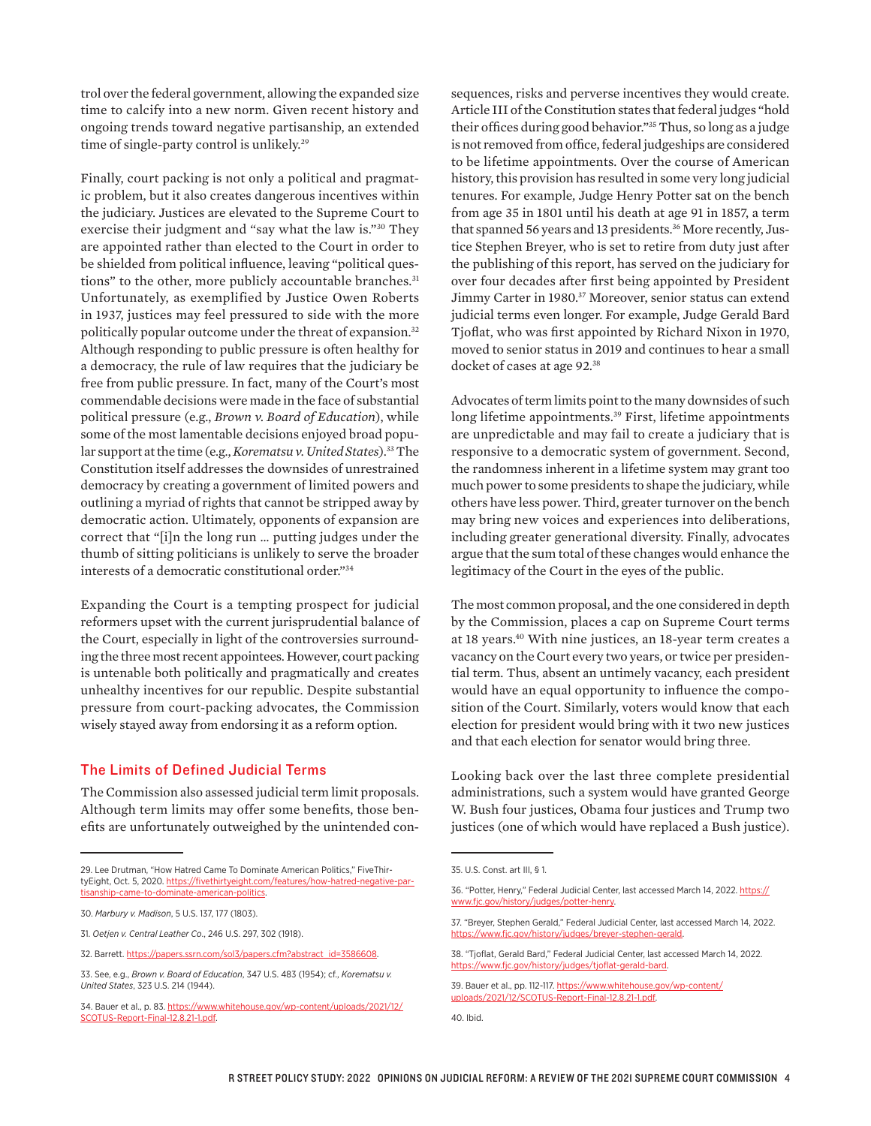trol over the federal government, allowing the expanded size time to calcify into a new norm. Given recent history and ongoing trends toward negative partisanship, an extended time of single-party control is unlikely.<sup>29</sup>

Finally, court packing is not only a political and pragmatic problem, but it also creates dangerous incentives within the judiciary. Justices are elevated to the Supreme Court to exercise their judgment and "say what the law is."30 They are appointed rather than elected to the Court in order to be shielded from political influence, leaving "political questions" to the other, more publicly accountable branches.<sup>31</sup> Unfortunately, as exemplified by Justice Owen Roberts in 1937, justices may feel pressured to side with the more politically popular outcome under the threat of expansion.32 Although responding to public pressure is often healthy for a democracy, the rule of law requires that the judiciary be free from public pressure. In fact, many of the Court's most commendable decisions were made in the face of substantial political pressure (e.g., *Brown v. Board of Education*), while some of the most lamentable decisions enjoyed broad popular support at the time (e.g., *Korematsu v. United States*).33 The Constitution itself addresses the downsides of unrestrained democracy by creating a government of limited powers and outlining a myriad of rights that cannot be stripped away by democratic action. Ultimately, opponents of expansion are correct that "[i]n the long run … putting judges under the thumb of sitting politicians is unlikely to serve the broader interests of a democratic constitutional order."34

Expanding the Court is a tempting prospect for judicial reformers upset with the current jurisprudential balance of the Court, especially in light of the controversies surrounding the three most recent appointees. However, court packing is untenable both politically and pragmatically and creates unhealthy incentives for our republic. Despite substantial pressure from court-packing advocates, the Commission wisely stayed away from endorsing it as a reform option.

#### The Limits of Defined Judicial Terms

The Commission also assessed judicial term limit proposals. Although term limits may offer some benefits, those benefits are unfortunately outweighed by the unintended consequences, risks and perverse incentives they would create. Article III of the Constitution states that federal judges "hold their offices during good behavior."35 Thus, so long as a judge is not removed from office, federal judgeships are considered to be lifetime appointments. Over the course of American history, this provision has resulted in some very long judicial tenures. For example, Judge Henry Potter sat on the bench from age 35 in 1801 until his death at age 91 in 1857, a term that spanned 56 years and 13 presidents.<sup>36</sup> More recently, Justice Stephen Breyer, who is set to retire from duty just after the publishing of this report, has served on the judiciary for over four decades after first being appointed by President Jimmy Carter in 1980.37 Moreover, senior status can extend judicial terms even longer. For example, Judge Gerald Bard Tjoflat, who was first appointed by Richard Nixon in 1970, moved to senior status in 2019 and continues to hear a small docket of cases at age 92.<sup>38</sup>

Advocates of term limits point to the many downsides of such long lifetime appointments.<sup>39</sup> First, lifetime appointments are unpredictable and may fail to create a judiciary that is responsive to a democratic system of government. Second, the randomness inherent in a lifetime system may grant too much power to some presidents to shape the judiciary, while others have less power. Third, greater turnover on the bench may bring new voices and experiences into deliberations, including greater generational diversity. Finally, advocates argue that the sum total of these changes would enhance the legitimacy of the Court in the eyes of the public.

The most common proposal, and the one considered in depth by the Commission, places a cap on Supreme Court terms at 18 years.40 With nine justices, an 18-year term creates a vacancy on the Court every two years, or twice per presidential term. Thus, absent an untimely vacancy, each president would have an equal opportunity to influence the composition of the Court. Similarly, voters would know that each election for president would bring with it two new justices and that each election for senator would bring three.

Looking back over the last three complete presidential administrations, such a system would have granted George W. Bush four justices, Obama four justices and Trump two justices (one of which would have replaced a Bush justice).

<sup>29.</sup> Lee Drutman, "How Hatred Came To Dominate American Politics," FiveThirtyEight, Oct. 5, 2020. [https://fivethirtyeight.com/features/how-hatred-negative-par](https://fivethirtyeight.com/features/how-hatred-negative-partisanship-came-to-dominate-american-politics/)[tisanship-came-to-dominate-american-politics](https://fivethirtyeight.com/features/how-hatred-negative-partisanship-came-to-dominate-american-politics/).

<sup>30.</sup> *Marbury v. Madison*, 5 U.S. 137, 177 (1803).

<sup>31.</sup> *Oetjen v. Central Leather Co*., 246 U.S. 297, 302 (1918).

<sup>32.</sup> Barrett. [https://papers.ssrn.com/sol3/papers.cfm?abstract\\_id=3586608](https://papers.ssrn.com/sol3/papers.cfm?abstract_id=3586608).

<sup>33.</sup> See, e.g., *Brown v. Board of Education*, 347 U.S. 483 (1954); cf., *Korematsu v. United States*, 323 U.S. 214 (1944).

<sup>34.</sup> Bauer et al., p. 83. [https://www.whitehouse.gov/wp-content/uploads/2021/12/](https://www.whitehouse.gov/wp-content/uploads/2021/12/SCOTUS-Report-Final-12.8.21-1.pdf) [SCOTUS-Report-Final-12.8.21-1.pdf.](https://www.whitehouse.gov/wp-content/uploads/2021/12/SCOTUS-Report-Final-12.8.21-1.pdf)

<sup>35.</sup> U.S. Const. art III, § 1.

<sup>36. &</sup>quot;Potter, Henry," Federal Judicial Center, last accessed March 14, 2022. [https://](https://www.fjc.gov/history/judges/potter-henry) [www.fjc.gov/history/judges/potter-henry.](https://www.fjc.gov/history/judges/potter-henry)

<sup>37. &</sup>quot;Breyer, Stephen Gerald," Federal Judicial Center, last accessed March 14, 2022. [https://www.fjc.gov/history/judges/breyer-stephen-gerald.](https://www.fjc.gov/history/judges/breyer-stephen-gerald)

<sup>38. &</sup>quot;Tjoflat, Gerald Bard," Federal Judicial Center, last accessed March 14, 2022. https://www.fi

<sup>39.</sup> Bauer et al., pp. 112-117. [https://www.whitehouse.gov/wp-content/](https://www.whitehouse.gov/wp-content/uploads/2021/12/SCOTUS-Report-Final-12.8.21-1.pdf) [uploads/2021/12/SCOTUS-Report-Final-12.8.21-1.pdf.](https://www.whitehouse.gov/wp-content/uploads/2021/12/SCOTUS-Report-Final-12.8.21-1.pdf)

<sup>40.</sup> Ibid.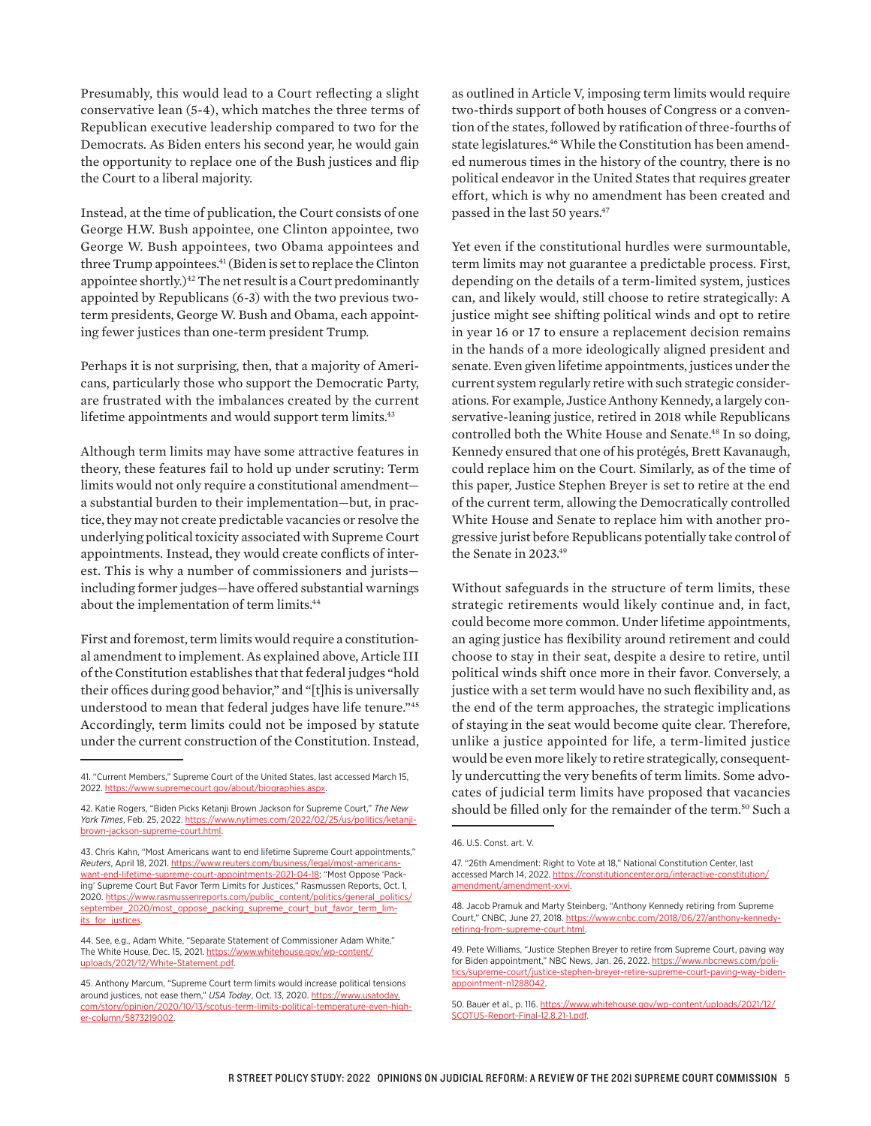Presumably, this would lead to a Court reflecting a slight conservative lean (5-4), which matches the three terms of Republican executive leadership compared to two for the Democrats. As Biden enters his second year, he would gain the opportunity to replace one of the Bush justices and flip the Court to a liberal majority.

Instead, at the time of publication, the Court consists of one George H.W. Bush appointee, one Clinton appointee, two George W. Bush appointees, two Obama appointees and three Trump appointees.<sup>41</sup> (Biden is set to replace the Clinton appointee shortly.)<sup>42</sup> The net result is a Court predominantly appointed by Republicans (6-3) with the two previous twoterm presidents, George W. Bush and Obama, each appointing fewer justices than one-term president Trump.

Perhaps it is not surprising, then, that a majority of Americans, particularly those who support the Democratic Party, are frustrated with the imbalances created by the current lifetime appointments and would support term limits.<sup>43</sup>

Although term limits may have some attractive features in theory, these features fail to hold up under scrutiny: Term limits would not only require a constitutional amendment a substantial burden to their implementation—but, in practice, they may not create predictable vacancies or resolve the underlying political toxicity associated with Supreme Court appointments. Instead, they would create conflicts of interest. This is why a number of commissioners and jurists including former judges—have offered substantial warnings about the implementation of term limits.<sup>44</sup>

First and foremost, term limits would require a constitutional amendment to implement. As explained above, Article III of the Constitution establishes that that federal judges "hold their offices during good behavior," and "[t]his is universally understood to mean that federal judges have life tenure."45 Accordingly, term limits could not be imposed by statute under the current construction of the Constitution. Instead, as outlined in Article V, imposing term limits would require two-thirds support of both houses of Congress or a convention of the states, followed by ratification of three-fourths of state legislatures.<sup>46</sup> While the Constitution has been amended numerous times in the history of the country, there is no political endeavor in the United States that requires greater effort, which is why no amendment has been created and passed in the last 50 years.47

Yet even if the constitutional hurdles were surmountable, term limits may not guarantee a predictable process. First, depending on the details of a term-limited system, justices can, and likely would, still choose to retire strategically: A justice might see shifting political winds and opt to retire in year 16 or 17 to ensure a replacement decision remains in the hands of a more ideologically aligned president and senate. Even given lifetime appointments, justices under the current system regularly retire with such strategic considerations. For example, Justice Anthony Kennedy, a largely conservative-leaning justice, retired in 2018 while Republicans controlled both the White House and Senate.<sup>48</sup> In so doing, Kennedy ensured that one of his protégés, Brett Kavanaugh, could replace him on the Court. Similarly, as of the time of this paper, Justice Stephen Breyer is set to retire at the end of the current term, allowing the Democratically controlled White House and Senate to replace him with another progressive jurist before Republicans potentially take control of the Senate in 2023.49

Without safeguards in the structure of term limits, these strategic retirements would likely continue and, in fact, could become more common. Under lifetime appointments, an aging justice has flexibility around retirement and could choose to stay in their seat, despite a desire to retire, until political winds shift once more in their favor. Conversely, a justice with a set term would have no such flexibility and, as the end of the term approaches, the strategic implications of staying in the seat would become quite clear. Therefore, unlike a justice appointed for life, a term-limited justice would be even more likely to retire strategically, consequently undercutting the very benefits of term limits. Some advocates of judicial term limits have proposed that vacancies should be filled only for the remainder of the term.<sup>50</sup> Such a

<sup>41. &</sup>quot;Current Members," Supreme Court of the United States, last accessed March 15, 2022. [https://www.supremecourt.gov/about/biographies.aspx.](https://www.supremecourt.gov/about/biographies.aspx)

<sup>42.</sup> Katie Rogers, "Biden Picks Ketanji Brown Jackson for Supreme Court," *The New York Times*, Feb. 25, 2022. [https://www.nytimes.com/2022/02/25/us/politics/ketanji](https://www.nytimes.com/2022/02/25/us/politics/ketanji-brown-jackson-supreme-court.html)[brown-jackson-supreme-court.html.](https://www.nytimes.com/2022/02/25/us/politics/ketanji-brown-jackson-supreme-court.html)

<sup>43.</sup> Chris Kahn, "Most Americans want to end lifetime Supreme Court appointments," *Reuters*, April 18, 2021. [https://www.reuters.com/business/legal/most-americans](https://www.reuters.com/business/legal/most-americans-want-end-lifetime-supreme-court-appointments-2021-04-18/)[want-end-lifetime-supreme-court-appointments-2021-04-18](https://www.reuters.com/business/legal/most-americans-want-end-lifetime-supreme-court-appointments-2021-04-18/); "Most Oppose 'Packing' Supreme Court But Favor Term Limits for Justices," Rasmussen Reports, Oct. 1, 2020. [https://www.rasmussenreports.com/public\\_content/politics/general\\_politics/](https://www.rasmussenreports.com/public_content/politics/general_politics/september_2020/most_oppose_packing_supreme_court_but_favor_term_limits_for_justices) [september\\_2020/most\\_oppose\\_packing\\_supreme\\_court\\_but\\_favor\\_term\\_lim](https://www.rasmussenreports.com/public_content/politics/general_politics/september_2020/most_oppose_packing_supreme_court_but_favor_term_limits_for_justices)[its\\_for\\_justices.](https://www.rasmussenreports.com/public_content/politics/general_politics/september_2020/most_oppose_packing_supreme_court_but_favor_term_limits_for_justices)

<sup>44.</sup> See, e.g., Adam White, "Separate Statement of Commissioner Adam White," The White House, Dec. 15, 2021. [https://www.whitehouse.gov/wp-content/](https://www.whitehouse.gov/wp-content/uploads/2021/12/White-Statement.pdf) [uploads/2021/12/White-Statement.pdf](https://www.whitehouse.gov/wp-content/uploads/2021/12/White-Statement.pdf).

<sup>45.</sup> Anthony Marcum, "Supreme Court term limits would increase political tensions around justices, not ease them," *USA Today*, Oct. 13, 2020. [https://www.usatoday.](https://www.usatoday.com/story/opinion/2020/10/13/scotus-term-limits-political-temperature-even-higher-column/5873219002/) [com/story/opinion/2020/10/13/scotus-term-limits-political-temperature-even-high](https://www.usatoday.com/story/opinion/2020/10/13/scotus-term-limits-political-temperature-even-higher-column/5873219002/)[er-column/5873219002.](https://www.usatoday.com/story/opinion/2020/10/13/scotus-term-limits-political-temperature-even-higher-column/5873219002/)

<sup>46.</sup> U.S. Const. art. V.

<sup>47. &</sup>quot;26th Amendment: Right to Vote at 18," National Constitution Center, last accessed March 14, 2022. [https://constitutioncenter.org/interactive-constitution/](https://constitutioncenter.org/interactive-constitution/amendment/amendment-xxvi) [amendment/amendment-xxvi.](https://constitutioncenter.org/interactive-constitution/amendment/amendment-xxvi)

<sup>48.</sup> Jacob Pramuk and Marty Steinberg, "Anthony Kennedy retiring from Supreme Court," CNBC, June 27, 2018. [https://www.cnbc.com/2018/06/27/anthony-kennedy](https://www.cnbc.com/2018/06/27/anthony-kennedy-retiring-from-supreme-court.html)[retiring-from-supreme-court.html](https://www.cnbc.com/2018/06/27/anthony-kennedy-retiring-from-supreme-court.html).

<sup>49.</sup> Pete Williams, "Justice Stephen Breyer to retire from Supreme Court, paving way for Biden appointment," NBC News, Jan. 26, 2022. [https://www.nbcnews.com/poli](https://www.nbcnews.com/politics/supreme-court/justice-stephen-breyer-retire-supreme-court-paving-way-biden-appointment-n1288042)[tics/supreme-court/justice-stephen-breyer-retire-supreme-court-paving-way-biden](https://www.nbcnews.com/politics/supreme-court/justice-stephen-breyer-retire-supreme-court-paving-way-biden-appointment-n1288042)[appointment-n1288042](https://www.nbcnews.com/politics/supreme-court/justice-stephen-breyer-retire-supreme-court-paving-way-biden-appointment-n1288042).

<sup>50.</sup> Bauer et al., p. 116. [https://www.whitehouse.gov/wp-content/uploads/2021/12/](https://www.whitehouse.gov/wp-content/uploads/2021/12/SCOTUS-Report-Final-12.8.21-1.pdf) [SCOTUS-Report-Final-12.8.21-1.pdf](https://www.whitehouse.gov/wp-content/uploads/2021/12/SCOTUS-Report-Final-12.8.21-1.pdf).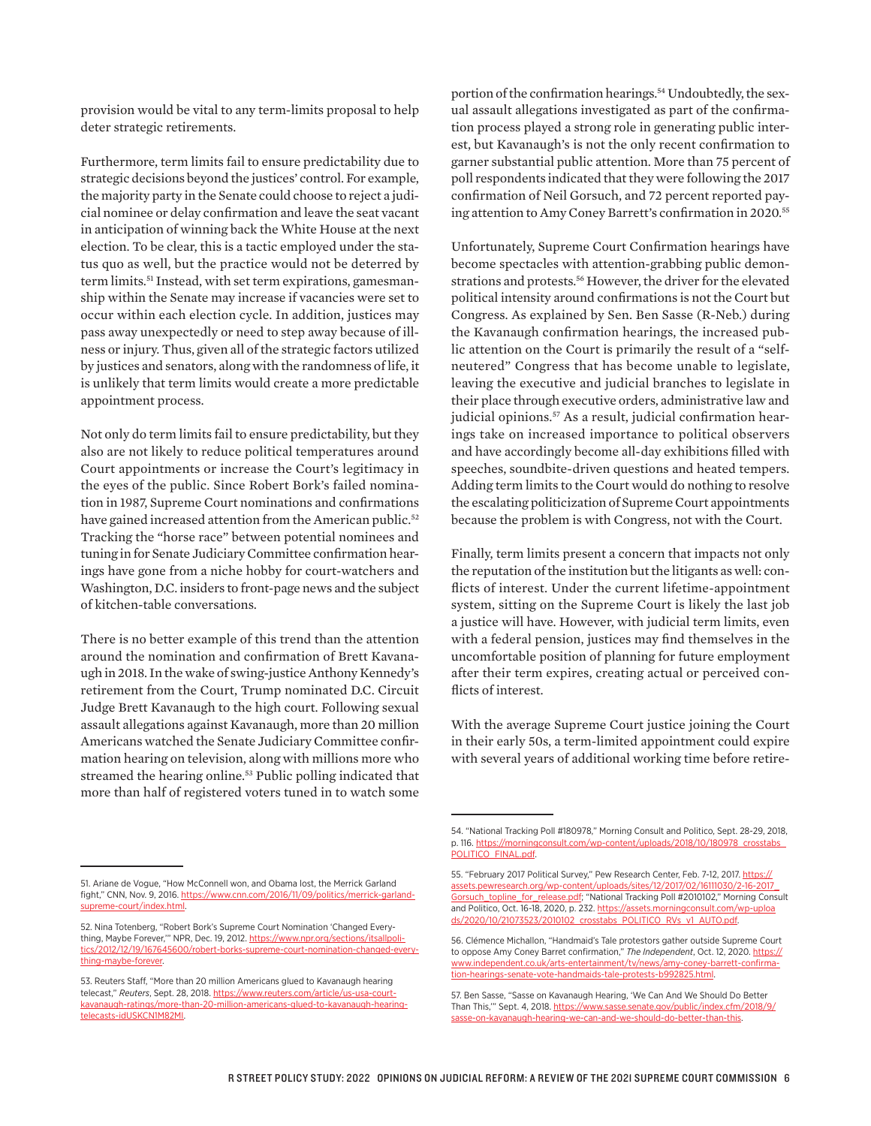provision would be vital to any term-limits proposal to help deter strategic retirements.

Furthermore, term limits fail to ensure predictability due to strategic decisions beyond the justices' control. For example, the majority party in the Senate could choose to reject a judicial nominee or delay confirmation and leave the seat vacant in anticipation of winning back the White House at the next election. To be clear, this is a tactic employed under the status quo as well, but the practice would not be deterred by term limits.<sup>51</sup> Instead, with set term expirations, gamesmanship within the Senate may increase if vacancies were set to occur within each election cycle. In addition, justices may pass away unexpectedly or need to step away because of illness or injury. Thus, given all of the strategic factors utilized by justices and senators, along with the randomness of life, it is unlikely that term limits would create a more predictable appointment process.

Not only do term limits fail to ensure predictability, but they also are not likely to reduce political temperatures around Court appointments or increase the Court's legitimacy in the eyes of the public. Since Robert Bork's failed nomination in 1987, Supreme Court nominations and confirmations have gained increased attention from the American public.<sup>52</sup> Tracking the "horse race" between potential nominees and tuning in for Senate Judiciary Committee confirmation hearings have gone from a niche hobby for court-watchers and Washington, D.C. insiders to front-page news and the subject of kitchen-table conversations.

There is no better example of this trend than the attention around the nomination and confirmation of Brett Kavanaugh in 2018. In the wake of swing-justice Anthony Kennedy's retirement from the Court, Trump nominated D.C. Circuit Judge Brett Kavanaugh to the high court. Following sexual assault allegations against Kavanaugh, more than 20 million Americans watched the Senate Judiciary Committee confirmation hearing on television, along with millions more who streamed the hearing online.<sup>53</sup> Public polling indicated that more than half of registered voters tuned in to watch some

portion of the confirmation hearings.<sup>54</sup> Undoubtedly, the sexual assault allegations investigated as part of the confirmation process played a strong role in generating public interest, but Kavanaugh's is not the only recent confirmation to garner substantial public attention. More than 75 percent of poll respondents indicated that they were following the 2017 confirmation of Neil Gorsuch, and 72 percent reported paying attention to Amy Coney Barrett's confirmation in 2020.55

Unfortunately, Supreme Court Confirmation hearings have become spectacles with attention-grabbing public demonstrations and protests.<sup>56</sup> However, the driver for the elevated political intensity around confirmations is not the Court but Congress. As explained by Sen. Ben Sasse (R-Neb.) during the Kavanaugh confirmation hearings, the increased public attention on the Court is primarily the result of a "selfneutered" Congress that has become unable to legislate, leaving the executive and judicial branches to legislate in their place through executive orders, administrative law and judicial opinions.<sup>57</sup> As a result, judicial confirmation hearings take on increased importance to political observers and have accordingly become all-day exhibitions filled with speeches, soundbite-driven questions and heated tempers. Adding term limits to the Court would do nothing to resolve the escalating politicization of Supreme Court appointments because the problem is with Congress, not with the Court.

Finally, term limits present a concern that impacts not only the reputation of the institution but the litigants as well: conflicts of interest. Under the current lifetime-appointment system, sitting on the Supreme Court is likely the last job a justice will have. However, with judicial term limits, even with a federal pension, justices may find themselves in the uncomfortable position of planning for future employment after their term expires, creating actual or perceived conflicts of interest.

With the average Supreme Court justice joining the Court in their early 50s, a term-limited appointment could expire with several years of additional working time before retire-

<sup>54. &</sup>quot;National Tracking Poll #180978," Morning Consult and Politico, Sept. 28-29, 2018, p. 116. [https://morningconsult.com/wp-content/uploads/2018/10/180978\\_crosstabs\\_](https://morningconsult.com/wp-content/uploads/2018/10/180978_crosstabs_POLITICO_FINAL.pdf) [POLITICO\\_FINAL.pdf](https://morningconsult.com/wp-content/uploads/2018/10/180978_crosstabs_POLITICO_FINAL.pdf).

<sup>55. &</sup>quot;February 2017 Political Survey," Pew Research Center, Feb. 7-12, 2017. [https://](https://assets.pewresearch.org/wp-content/uploads/sites/12/2017/02/16111030/2-16-2017_Gorsuch_topline_for_release.pdf) [assets.pewresearch.org/wp-content/uploads/sites/12/2017/02/16111030/2-16-2017\\_](https://assets.pewresearch.org/wp-content/uploads/sites/12/2017/02/16111030/2-16-2017_Gorsuch_topline_for_release.pdf) [Gorsuch\\_topline\\_for\\_release.pdf;](https://assets.pewresearch.org/wp-content/uploads/sites/12/2017/02/16111030/2-16-2017_Gorsuch_topline_for_release.pdf) "National Tracking Poll #2010102," Morning Consult and Politico, Oct. 16-18, 2020, p. 232. [https://assets.morningconsult.com/wp-uploa](https://assets.morningconsult.com/wp-uploads/2020/10/21073523/2010102_crosstabs_POLITICO_RVs_v1_AUTO.pdf) [ds/2020/10/21073523/2010102\\_crosstabs\\_POLITICO\\_RVs\\_v1\\_AUTO.pdf](https://assets.morningconsult.com/wp-uploads/2020/10/21073523/2010102_crosstabs_POLITICO_RVs_v1_AUTO.pdf).

<sup>56.</sup> Clémence Michallon, "Handmaid's Tale protestors gather outside Supreme Court to oppose Amy Coney Barret confirmation," The Independent, Oct. 12, 2020. [https://](https://www.independent.co.uk/arts-entertainment/tv/news/amy-coney-barrett-confirmation-hearings-senate-vote-handmaids-tale-protests-b992825.html) [www.independent.co.uk/arts-entertainment/tv/news/amy-coney-barrett-confirma](https://www.independent.co.uk/arts-entertainment/tv/news/amy-coney-barrett-confirmation-hearings-senate-vote-handmaids-tale-protests-b992825.html)[tion-hearings-senate-vote-handmaids-tale-protests-b992825.html.](https://www.independent.co.uk/arts-entertainment/tv/news/amy-coney-barrett-confirmation-hearings-senate-vote-handmaids-tale-protests-b992825.html)

<sup>57.</sup> Ben Sasse, "Sasse on Kavanaugh Hearing, 'We Can And We Should Do Better Than This,'" Sept. 4, 2018. [https://www.sasse.senate.gov/public/index.cfm/2018/9/](https://www.sasse.senate.gov/public/index.cfm/2018/9/sasse-on-kavanaugh-hearing-we-can-and-we-should-do-better-than-this) [sasse-on-kavanaugh-hearing-we-can-and-we-should-do-better-than-this](https://www.sasse.senate.gov/public/index.cfm/2018/9/sasse-on-kavanaugh-hearing-we-can-and-we-should-do-better-than-this).

<sup>51.</sup> Ariane de Vogue, "How McConnell won, and Obama lost, the Merrick Garland fight," CNN, Nov. 9, 2016. [https://www.cnn.com/2016/11/09/politics/merrick-garland](https://www.cnn.com/2016/11/09/politics/merrick-garland-supreme-court/index.html)[supreme-court/index.html.](https://www.cnn.com/2016/11/09/politics/merrick-garland-supreme-court/index.html)

<sup>52.</sup> Nina Totenberg, "Robert Bork's Supreme Court Nomination 'Changed Everything, Maybe Forever,"" NPR, Dec. 19, 2012. [https://www.npr.org/sections/itsallpoli](https://www.npr.org/sections/itsallpolitics/2012/12/19/167645600/robert-borks-supreme-court-nomination-changed-everything-maybe-forever)[tics/2012/12/19/167645600/robert-borks-supreme-court-nomination-changed-every](https://www.npr.org/sections/itsallpolitics/2012/12/19/167645600/robert-borks-supreme-court-nomination-changed-everything-maybe-forever)[thing-maybe-forever](https://www.npr.org/sections/itsallpolitics/2012/12/19/167645600/robert-borks-supreme-court-nomination-changed-everything-maybe-forever).

<sup>53.</sup> Reuters Staff, "More than 20 million Americans glued to Kavanaugh hearing telecast," *Reuters*, Sept. 28, 2018. [https://www.reuters.com/article/us-usa-court](https://www.reuters.com/article/us-usa-court-kavanaugh-ratings/more-than-20-million-americans-glued-to-kavanaugh-hearing-telecasts-idUSKCN1M82MI)[kavanaugh-ratings/more-than-20-million-americans-glued-to-kavanaugh-hearing](https://www.reuters.com/article/us-usa-court-kavanaugh-ratings/more-than-20-million-americans-glued-to-kavanaugh-hearing-telecasts-idUSKCN1M82MI)[telecasts-idUSKCN1M82MI](https://www.reuters.com/article/us-usa-court-kavanaugh-ratings/more-than-20-million-americans-glued-to-kavanaugh-hearing-telecasts-idUSKCN1M82MI).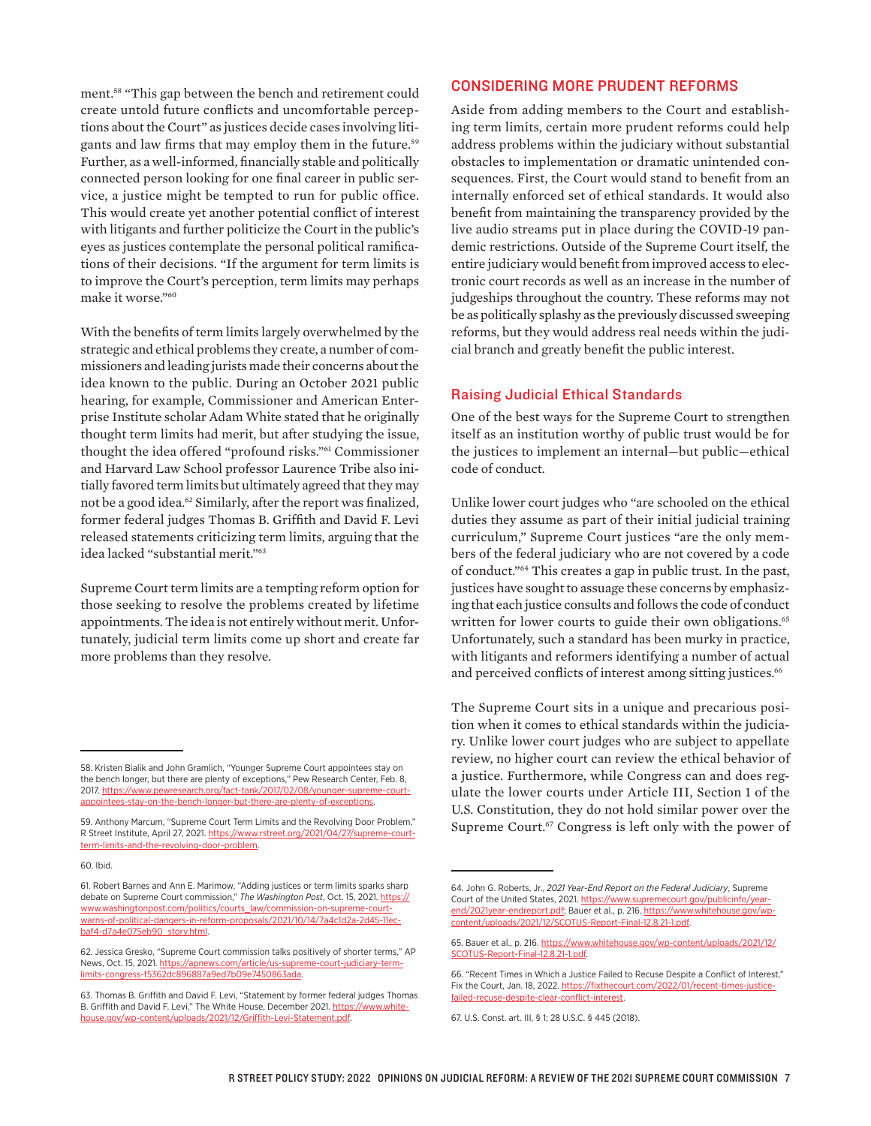ment.58 "This gap between the bench and retirement could create untold future conflicts and uncomfortable perceptions about the Court" as justices decide cases involving litigants and law firms that may employ them in the future.59 Further, as a well-informed, financially stable and politically connected person looking for one final career in public service, a justice might be tempted to run for public office. This would create yet another potential conflict of interest with litigants and further politicize the Court in the public's eyes as justices contemplate the personal political ramifications of their decisions. "If the argument for term limits is to improve the Court's perception, term limits may perhaps make it worse."60

With the benefits of term limits largely overwhelmed by the strategic and ethical problems they create, a number of commissioners and leading jurists made their concerns about the idea known to the public. During an October 2021 public hearing, for example, Commissioner and American Enterprise Institute scholar Adam White stated that he originally thought term limits had merit, but after studying the issue, thought the idea offered "profound risks."61 Commissioner and Harvard Law School professor Laurence Tribe also initially favored term limits but ultimately agreed that they may not be a good idea.<sup>62</sup> Similarly, after the report was finalized, former federal judges Thomas B. Griffith and David F. Levi released statements criticizing term limits, arguing that the idea lacked "substantial merit."63

Supreme Court term limits are a tempting reform option for those seeking to resolve the problems created by lifetime appointments. The idea is not entirely without merit. Unfortunately, judicial term limits come up short and create far more problems than they resolve.

### CONSIDERING MORE PRUDENT REFORMS

Aside from adding members to the Court and establishing term limits, certain more prudent reforms could help address problems within the judiciary without substantial obstacles to implementation or dramatic unintended consequences. First, the Court would stand to benefit from an internally enforced set of ethical standards. It would also benefit from maintaining the transparency provided by the live audio streams put in place during the COVID-19 pandemic restrictions. Outside of the Supreme Court itself, the entire judiciary would benefit from improved access to electronic court records as well as an increase in the number of judgeships throughout the country. These reforms may not be as politically splashy as the previously discussed sweeping reforms, but they would address real needs within the judicial branch and greatly benefit the public interest.

#### Raising Judicial Ethical Standards

One of the best ways for the Supreme Court to strengthen itself as an institution worthy of public trust would be for the justices to implement an internal—but public—ethical code of conduct.

Unlike lower court judges who "are schooled on the ethical duties they assume as part of their initial judicial training curriculum," Supreme Court justices "are the only members of the federal judiciary who are not covered by a code of conduct."64 This creates a gap in public trust. In the past, justices have sought to assuage these concerns by emphasizing that each justice consults and follows the code of conduct written for lower courts to guide their own obligations.<sup>65</sup> Unfortunately, such a standard has been murky in practice, with litigants and reformers identifying a number of actual and perceived conflicts of interest among sitting justices.<sup>66</sup>

The Supreme Court sits in a unique and precarious position when it comes to ethical standards within the judiciary. Unlike lower court judges who are subject to appellate review, no higher court can review the ethical behavior of a justice. Furthermore, while Congress can and does regulate the lower courts under Article III, Section 1 of the U.S. Constitution, they do not hold similar power over the Supreme Court.<sup>67</sup> Congress is left only with the power of

<sup>58.</sup> Kristen Bialik and John Gramlich, "Younger Supreme Court appointees stay on the bench longer, but there are plenty of exceptions," Pew Research Center, Feb. 8, 2017. [https://www.pewresearch.org/fact-tank/2017/02/08/younger-supreme-court](https://www.pewresearch.org/fact-tank/2017/02/08/younger-supreme-court-appointees-stay-on-the-bench-longer-but-there-are-plenty-of-exceptions)[appointees-stay-on-the-bench-longer-but-there-are-plenty-of-exceptions](https://www.pewresearch.org/fact-tank/2017/02/08/younger-supreme-court-appointees-stay-on-the-bench-longer-but-there-are-plenty-of-exceptions).

<sup>59.</sup> Anthony Marcum, "Supreme Court Term Limits and the Revolving Door Problem," R Street Institute, April 27, 2021. [https://www.rstreet.org/2021/04/27/supreme-court](https://www.rstreet.org/2021/04/27/supreme-court-term-limits-and-the-revolving-door-problem/)[term-limits-and-the-revolving-door-problem](https://www.rstreet.org/2021/04/27/supreme-court-term-limits-and-the-revolving-door-problem/).

<sup>60.</sup> Ibid.

<sup>61.</sup> Robert Barnes and Ann E. Marimow, "Adding justices or term limits sparks sharp debate on Supreme Court commission," *The Washington Post*, Oct. 15, 2021. [https://](https://www.washingtonpost.com/politics/courts_law/commission-on-supreme-court-warns-of-political-dangers-in-reform-proposals/2021/10/14/7a4c1d2a-2d45-11ec-baf4-d7a4e075eb90_story.html) [www.washingtonpost.com/politics/courts\\_law/commission-on-supreme-court](https://www.washingtonpost.com/politics/courts_law/commission-on-supreme-court-warns-of-political-dangers-in-reform-proposals/2021/10/14/7a4c1d2a-2d45-11ec-baf4-d7a4e075eb90_story.html)[warns-of-political-dangers-in-reform-proposals/2021/10/14/7a4c1d2a-2d45-11ec](https://www.washingtonpost.com/politics/courts_law/commission-on-supreme-court-warns-of-political-dangers-in-reform-proposals/2021/10/14/7a4c1d2a-2d45-11ec-baf4-d7a4e075eb90_story.html)[baf4-d7a4e075eb90\\_story.html.](https://www.washingtonpost.com/politics/courts_law/commission-on-supreme-court-warns-of-political-dangers-in-reform-proposals/2021/10/14/7a4c1d2a-2d45-11ec-baf4-d7a4e075eb90_story.html)

<sup>62.</sup> Jessica Gresko, "Supreme Court commission talks positively of shorter terms," AP News, Oct. 15, 2021. [https://apnews.com/article/us-supreme-court-judiciary-term](https://apnews.com/article/us-supreme-court-judiciary-term-limits-congress-f5362dc896887a9ed7b09e7450863ada)[limits-congress-f5362dc896887a9ed7b09e7450863ada.](https://apnews.com/article/us-supreme-court-judiciary-term-limits-congress-f5362dc896887a9ed7b09e7450863ada)

<sup>63.</sup> Thomas B. Griffith and David F. Levi, "Statement by former federal judges Thomas B. Griffith and David F. Levi," The White House, December 2021. [https://www.white](https://www.whitehouse.gov/wp-content/uploads/2021/12/Griffith-Levi-Statement.pdf)[house.gov/wp-content/uploads/2021/12/Griffith-Levi-Statement.pdf](https://www.whitehouse.gov/wp-content/uploads/2021/12/Griffith-Levi-Statement.pdf).

<sup>64.</sup> John G. Roberts, Jr., *2021 Year-End Report on the Federal Judiciary*, Supreme Court of the United States, 2021. [https://www.supremecourt.gov/publicinfo/year](https://www.supremecourt.gov/publicinfo/year-end/2021year-endreport.pdf)[end/2021year-endreport.pdf](https://www.supremecourt.gov/publicinfo/year-end/2021year-endreport.pdf); Bauer et al., p. 216. [https://www.whitehouse.gov/wp](https://www.whitehouse.gov/wp-content/uploads/2021/12/SCOTUS-Report-Final-12.8.21-1.pdf)[content/uploads/2021/12/SCOTUS-Report-Final-12.8.21-1.pdf.](https://www.whitehouse.gov/wp-content/uploads/2021/12/SCOTUS-Report-Final-12.8.21-1.pdf)

<sup>65.</sup> Bauer et al., p. 216. [https://www.whitehouse.gov/wp-content/uploads/2021/12/](https://www.whitehouse.gov/wp-content/uploads/2021/12/SCOTUS-Report-Final-12.8.21-1.pdf) [SCOTUS-Report-Final-12.8.21-1.pdf](https://www.whitehouse.gov/wp-content/uploads/2021/12/SCOTUS-Report-Final-12.8.21-1.pdf).

<sup>66. &</sup>quot;Recent Times in Which a Justice Failed to Recuse Despite a Conflict of Interest," Fix the Court, Jan. 18, 2022. [https://fixthecourt.com/2022/01/recent-times-justice](https://fixthecourt.com/2022/01/recent-times-justice-failed-recuse-despite-clear-conflict-interest)[failed-recuse-despite-clear-conflict-interest](https://fixthecourt.com/2022/01/recent-times-justice-failed-recuse-despite-clear-conflict-interest).

<sup>67.</sup> U.S. Const. art. III, § 1; 28 U.S.C. § 445 (2018).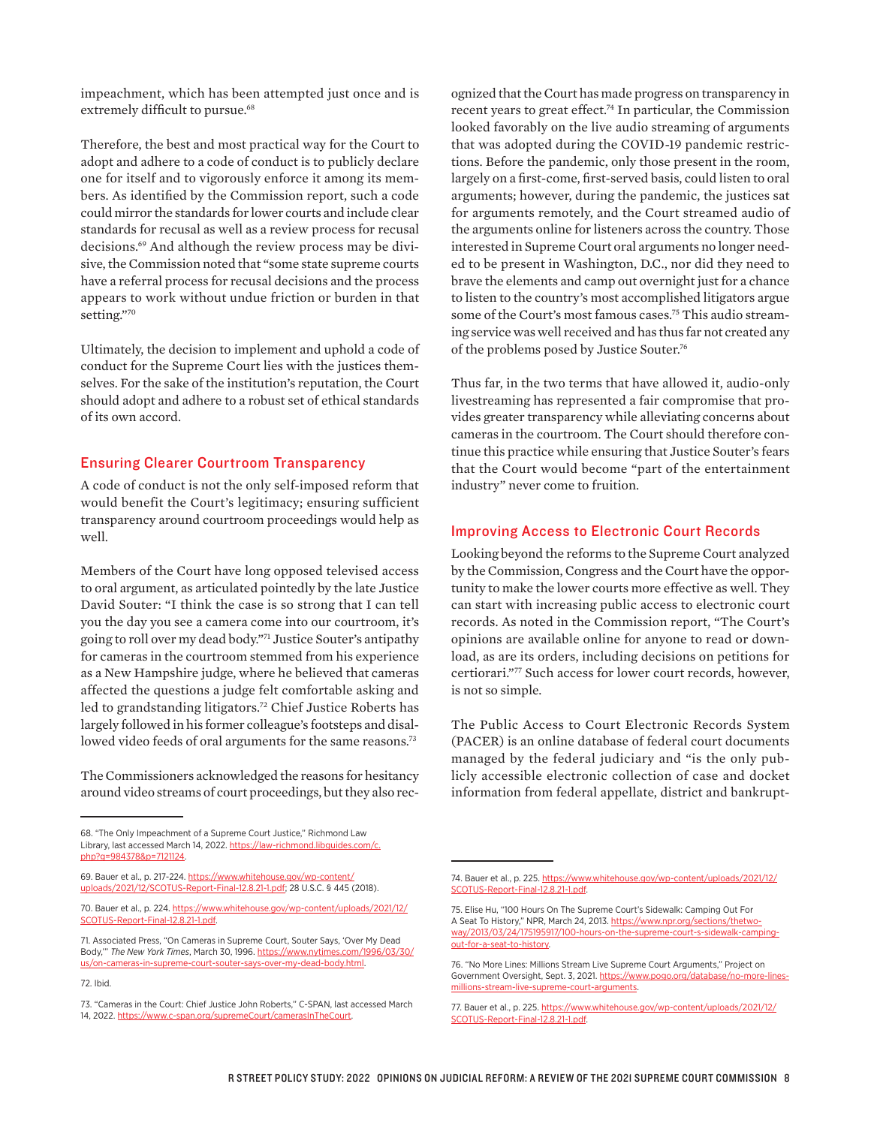impeachment, which has been attempted just once and is extremely difficult to pursue.<sup>68</sup>

Therefore, the best and most practical way for the Court to adopt and adhere to a code of conduct is to publicly declare one for itself and to vigorously enforce it among its members. As identified by the Commission report, such a code could mirror the standards for lower courts and include clear standards for recusal as well as a review process for recusal decisions.69 And although the review process may be divisive, the Commission noted that "some state supreme courts have a referral process for recusal decisions and the process appears to work without undue friction or burden in that setting."70

Ultimately, the decision to implement and uphold a code of conduct for the Supreme Court lies with the justices themselves. For the sake of the institution's reputation, the Court should adopt and adhere to a robust set of ethical standards of its own accord.

#### Ensuring Clearer Courtroom Transparency

A code of conduct is not the only self-imposed reform that would benefit the Court's legitimacy; ensuring sufficient transparency around courtroom proceedings would help as well.

Members of the Court have long opposed televised access to oral argument, as articulated pointedly by the late Justice David Souter: "I think the case is so strong that I can tell you the day you see a camera come into our courtroom, it's going to roll over my dead body."71 Justice Souter's antipathy for cameras in the courtroom stemmed from his experience as a New Hampshire judge, where he believed that cameras affected the questions a judge felt comfortable asking and led to grandstanding litigators.<sup>72</sup> Chief Justice Roberts has largely followed in his former colleague's footsteps and disallowed video feeds of oral arguments for the same reasons.<sup>73</sup>

The Commissioners acknowledged the reasons for hesitancy around video streams of court proceedings, but they also rec-

69. Bauer et al., p. 217-224. [https://www.whitehouse.gov/wp-content/](https://www.whitehouse.gov/wp-content/uploads/2021/12/SCOTUS-Report-Final-12.8.21-1.pdf) [uploads/2021/12/SCOTUS-Report-Final-12.8.21-1.pdf](https://www.whitehouse.gov/wp-content/uploads/2021/12/SCOTUS-Report-Final-12.8.21-1.pdf); 28 U.S.C. § 445 (2018).

ognized that the Court has made progress on transparency in recent years to great effect.<sup>74</sup> In particular, the Commission looked favorably on the live audio streaming of arguments that was adopted during the COVID-19 pandemic restrictions. Before the pandemic, only those present in the room, largely on a first-come, first-served basis, could listen to oral arguments; however, during the pandemic, the justices sat for arguments remotely, and the Court streamed audio of the arguments online for listeners across the country. Those interested in Supreme Court oral arguments no longer needed to be present in Washington, D.C., nor did they need to brave the elements and camp out overnight just for a chance to listen to the country's most accomplished litigators argue some of the Court's most famous cases.75 This audio streaming service was well received and has thus far not created any of the problems posed by Justice Souter.76

Thus far, in the two terms that have allowed it, audio-only livestreaming has represented a fair compromise that provides greater transparency while alleviating concerns about cameras in the courtroom. The Court should therefore continue this practice while ensuring that Justice Souter's fears that the Court would become "part of the entertainment industry" never come to fruition.

# Improving Access to Electronic Court Records

Looking beyond the reforms to the Supreme Court analyzed by the Commission, Congress and the Court have the opportunity to make the lower courts more effective as well. They can start with increasing public access to electronic court records. As noted in the Commission report, "The Court's opinions are available online for anyone to read or download, as are its orders, including decisions on petitions for certiorari."77 Such access for lower court records, however, is not so simple.

The Public Access to Court Electronic Records System (PACER) is an online database of federal court documents managed by the federal judiciary and "is the only publicly accessible electronic collection of case and docket information from federal appellate, district and bankrupt-

<sup>68. &</sup>quot;The Only Impeachment of a Supreme Court Justice," Richmond Law Library, last accessed March 14, 2022. [https://law-richmond.libguides.com/c.](https://law-richmond.libguides.com/c.php?g=984378&p=7121124) [php?g=984378&p=7121124.](https://law-richmond.libguides.com/c.php?g=984378&p=7121124)

<sup>70.</sup> Bauer et al., p. 224. [https://www.whitehouse.gov/wp-content/uploads/2021/12/](https://www.whitehouse.gov/wp-content/uploads/2021/12/SCOTUS-Report-Final-12.8.21-1.pdf) [SCOTUS-Report-Final-12.8.21-1.pdf.](https://www.whitehouse.gov/wp-content/uploads/2021/12/SCOTUS-Report-Final-12.8.21-1.pdf)

<sup>71.</sup> Associated Press, "On Cameras in Supreme Court, Souter Says, 'Over My Dead Body,'" *The New York Times*, March 30, 1996. [https://www.nytimes.com/1996/03/30/](https://www.nytimes.com/1996/03/30/us/on-cameras-in-supreme-court-souter-says-over-my-dead-body.html) [us/on-cameras-in-supreme-court-souter-says-over-my-dead-body.html.](https://www.nytimes.com/1996/03/30/us/on-cameras-in-supreme-court-souter-says-over-my-dead-body.html)

<sup>72.</sup> Ibid.

<sup>73. &</sup>quot;Cameras in the Court: Chief Justice John Roberts," C-SPAN, last accessed March 14, 2022. [https://www.c-span.org/supremeCourt/camerasInTheCourt.](https://www.c-span.org/supremeCourt/camerasInTheCourt)

<sup>74.</sup> Bauer et al., p. 225. [https://www.whitehouse.gov/wp-content/uploads/2021/12/](https://www.whitehouse.gov/wp-content/uploads/2021/12/SCOTUS-Report-Final-12.8.21-1.pdf) [SCOTUS-Report-Final-12.8.21-1.pdf](https://www.whitehouse.gov/wp-content/uploads/2021/12/SCOTUS-Report-Final-12.8.21-1.pdf).

<sup>75.</sup> Elise Hu, "100 Hours On The Supreme Court's Sidewalk: Camping Out For A Seat To History," NPR, March 24, 2013. [https://www.npr.org/sections/thetwo](https://www.npr.org/sections/thetwo-way/2013/03/24/175195917/100-hours-on-the-supreme-court-s-sidewalk-camping-out-for-a-seat-to-history)[way/2013/03/24/175195917/100-hours-on-the-supreme-court-s-sidewalk-camping](https://www.npr.org/sections/thetwo-way/2013/03/24/175195917/100-hours-on-the-supreme-court-s-sidewalk-camping-out-for-a-seat-to-history)[out-for-a-seat-to-history.](https://www.npr.org/sections/thetwo-way/2013/03/24/175195917/100-hours-on-the-supreme-court-s-sidewalk-camping-out-for-a-seat-to-history)

<sup>76. &</sup>quot;No More Lines: Millions Stream Live Supreme Court Arguments," Project on Government Oversight, Sept. 3, 2021. [https://www.pogo.org/database/no-more-lines](https://www.pogo.org/database/no-more-lines-millions-stream-live-supreme-court-arguments)[millions-stream-live-supreme-court-arguments.](https://www.pogo.org/database/no-more-lines-millions-stream-live-supreme-court-arguments)

<sup>77.</sup> Bauer et al., p. 225. [https://www.whitehouse.gov/wp-content/uploads/2021/12/](https://www.whitehouse.gov/wp-content/uploads/2021/12/SCOTUS-Report-Final-12.8.21-1.pdf) [SCOTUS-Report-Final-12.8.21-1.pdf](https://www.whitehouse.gov/wp-content/uploads/2021/12/SCOTUS-Report-Final-12.8.21-1.pdf).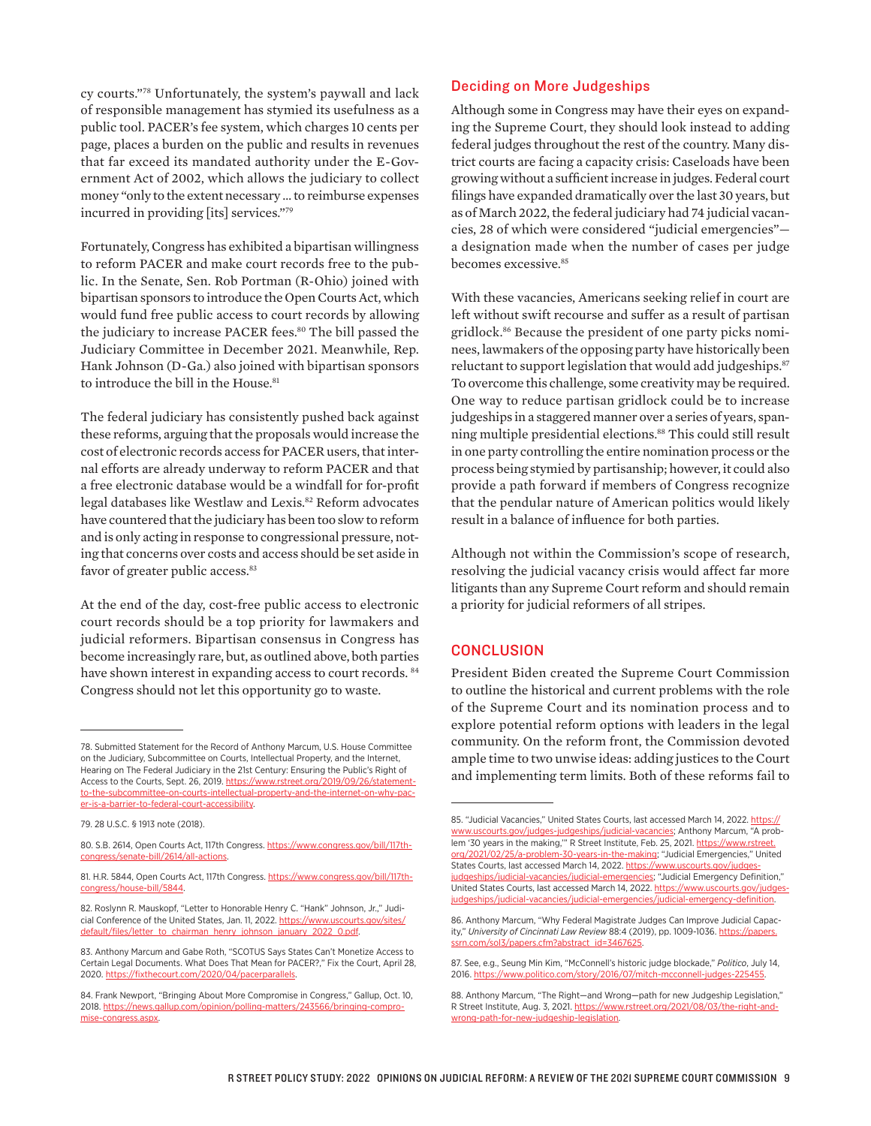cy courts."78 Unfortunately, the system's paywall and lack of responsible management has stymied its usefulness as a public tool. PACER's fee system, which charges 10 cents per page, places a burden on the public and results in revenues that far exceed its mandated authority under the E-Government Act of 2002, which allows the judiciary to collect money "only to the extent necessary … to reimburse expenses incurred in providing [its] services."79

Fortunately, Congress has exhibited a bipartisan willingness to reform PACER and make court records free to the public. In the Senate, Sen. Rob Portman (R-Ohio) joined with bipartisan sponsors to introduce the Open Courts Act, which would fund free public access to court records by allowing the judiciary to increase PACER fees.<sup>80</sup> The bill passed the Judiciary Committee in December 2021. Meanwhile, Rep. Hank Johnson (D-Ga.) also joined with bipartisan sponsors to introduce the bill in the House.<sup>81</sup>

The federal judiciary has consistently pushed back against these reforms, arguing that the proposals would increase the cost of electronic records access for PACER users, that internal efforts are already underway to reform PACER and that a free electronic database would be a windfall for for-profit legal databases like Westlaw and Lexis.<sup>82</sup> Reform advocates have countered that the judiciary has been too slow to reform and is only acting in response to congressional pressure, noting that concerns over costs and access should be set aside in favor of greater public access.<sup>83</sup>

At the end of the day, cost-free public access to electronic court records should be a top priority for lawmakers and judicial reformers. Bipartisan consensus in Congress has become increasingly rare, but, as outlined above, both parties have shown interest in expanding access to court records. <sup>84</sup> Congress should not let this opportunity go to waste.

#### Deciding on More Judgeships

Although some in Congress may have their eyes on expanding the Supreme Court, they should look instead to adding federal judges throughout the rest of the country. Many district courts are facing a capacity crisis: Caseloads have been growing without a sufficient increase in judges. Federal court filings have expanded dramatically over the last 30 years, but as of March 2022, the federal judiciary had 74 judicial vacancies, 28 of which were considered "judicial emergencies" a designation made when the number of cases per judge becomes excessive.<sup>85</sup>

With these vacancies, Americans seeking relief in court are left without swift recourse and suffer as a result of partisan gridlock.86 Because the president of one party picks nominees, lawmakers of the opposing party have historically been reluctant to support legislation that would add judgeships.<sup>87</sup> To overcome this challenge, some creativity may be required. One way to reduce partisan gridlock could be to increase judgeships in a staggered manner over a series of years, spanning multiple presidential elections.<sup>88</sup> This could still result in one party controlling the entire nomination process or the process being stymied by partisanship; however, it could also provide a path forward if members of Congress recognize that the pendular nature of American politics would likely result in a balance of influence for both parties.

Although not within the Commission's scope of research, resolving the judicial vacancy crisis would affect far more litigants than any Supreme Court reform and should remain a priority for judicial reformers of all stripes.

#### **CONCLUSION**

President Biden created the Supreme Court Commission to outline the historical and current problems with the role of the Supreme Court and its nomination process and to explore potential reform options with leaders in the legal community. On the reform front, the Commission devoted ample time to two unwise ideas: adding justices to the Court and implementing term limits. Both of these reforms fail to

<sup>78.</sup> Submitted Statement for the Record of Anthony Marcum, U.S. House Committee on the Judiciary, Subcommittee on Courts, Intellectual Property, and the Internet, Hearing on The Federal Judiciary in the 21st Century: Ensuring the Public's Right of Access to the Courts, Sept. 26, 2019. [https://www.rstreet.org/2019/09/26/statement](https://www.rstreet.org/2019/09/26/statement-to-the-subcommittee-on-courts-intellectual-property-and-the-internet-on-why-pacer-is-a-barrier-to-federal-court-accessibility)[to-the-subcommittee-on-courts-intellectual-property-and-the-internet-on-why-pac](https://www.rstreet.org/2019/09/26/statement-to-the-subcommittee-on-courts-intellectual-property-and-the-internet-on-why-pacer-is-a-barrier-to-federal-court-accessibility)[er-is-a-barrier-to-federal-court-accessibility](https://www.rstreet.org/2019/09/26/statement-to-the-subcommittee-on-courts-intellectual-property-and-the-internet-on-why-pacer-is-a-barrier-to-federal-court-accessibility).

<sup>79. 28</sup> U.S.C. § 1913 note (2018).

<sup>80.</sup> S.B. 2614, Open Courts Act, 117th Congress. [https://www.congress.gov/bill/117th](https://www.congress.gov/bill/117th-congress/senate-bill/2614/all-actions)[congress/senate-bill/2614/all-actions](https://www.congress.gov/bill/117th-congress/senate-bill/2614/all-actions).

<sup>81.</sup> H.R. 5844, Open Courts Act, 117th Congress. [https://www.congress.gov/bill/117th](https://www.congress.gov/bill/117th-congress/house-bill/5844)[congress/house-bill/5844.](https://www.congress.gov/bill/117th-congress/house-bill/5844)

<sup>82.</sup> Roslynn R. Mauskopf, "Letter to Honorable Henry C. "Hank" Johnson, Jr.," Judicial Conference of the United States, Jan. 11, 2022. [https://www.uscourts.gov/sites/](https://www.uscourts.gov/sites/default/files/letter_to_chairman_henry_johnson_january_2022_0.pdf) [default/files/letter\\_to\\_chairman\\_henry\\_johnson\\_january\\_2022\\_0.pdf.](https://www.uscourts.gov/sites/default/files/letter_to_chairman_henry_johnson_january_2022_0.pdf)

<sup>83.</sup> Anthony Marcum and Gabe Roth, "SCOTUS Says States Can't Monetize Access to Certain Legal Documents. What Does That Mean for PACER?," Fix the Court, April 28, 2020. https://fixthecourt.com/2020/04/pacerparallels

<sup>84.</sup> Frank Newport, "Bringing About More Compromise in Congress," Gallup, Oct. 10, 2018. [https://news.gallup.com/opinion/polling-matters/243566/bringing-compro](https://news.gallup.com/opinion/polling-matters/243566/bringing-compromise-congress.aspx)[mise-congress.aspx](https://news.gallup.com/opinion/polling-matters/243566/bringing-compromise-congress.aspx).

<sup>85. &</sup>quot;Judicial Vacancies," United States Courts, last accessed March 14, 2022. [https://](https://www.uscourts.gov/judges-judgeships/judicial-vacancies) [www.uscourts.gov/judges-judgeships/judicial-vacancies;](https://www.uscourts.gov/judges-judgeships/judicial-vacancies) Anthony Marcum, "A problem '30 years in the making,'" R Street Institute, Feb. 25, 2021. [https://www.rstreet.](https://www.rstreet.org/2021/02/25/a-problem-30-years-in-the-making) [org/2021/02/25/a-problem-30-years-in-the-making](https://www.rstreet.org/2021/02/25/a-problem-30-years-in-the-making); "Judicial Emergencies," United States Courts, last accessed March 14, 2022. https://www.uscourts.gov/judges [judgeships/judicial-vacancies/judicial-emergencies](https://www.uscourts.gov/judges-judgeships/judicial-vacancies/judicial-emergencies); "Judicial Emergency Definition," United States Courts, last accessed March 14, 2022. [https://www.uscourts.gov/judges](https://www.uscourts.gov/judges-judgeships/judicial-vacancies/judicial-emergencies/judicial-emergency-definition)[judgeships/judicial-vacancies/judicial-emergencies/judicial-emergency-definition](https://www.uscourts.gov/judges-judgeships/judicial-vacancies/judicial-emergencies/judicial-emergency-definition).

<sup>86.</sup> Anthony Marcum, "Why Federal Magistrate Judges Can Improve Judicial Capacity," *University of Cincinnati Law Review* 88:4 (2019), pp. 1009-1036. [https://papers.](https://papers.ssrn.com/sol3/papers.cfm?abstract_id=3467625) [ssrn.com/sol3/papers.cfm?abstract\\_id=3467625](https://papers.ssrn.com/sol3/papers.cfm?abstract_id=3467625)

<sup>87.</sup> See, e.g., Seung Min Kim, "McConnell's historic judge blockade," *Politico*, July 14, 2016. https://www.politico.com/story/2016/07/mitch-mcconnell-judges-2

<sup>88.</sup> Anthony Marcum, "The Right—and Wrong—path for new Judgeship Legislation," R Street Institute, Aug. 3, 2021. [https://www.rstreet.org/2021/08/03/the-right-and](https://www.rstreet.org/2021/08/03/the-right-and-wrong-path-for-new-judgeship-legislation)[wrong-path-for-new-judgeship-legislation.](https://www.rstreet.org/2021/08/03/the-right-and-wrong-path-for-new-judgeship-legislation)